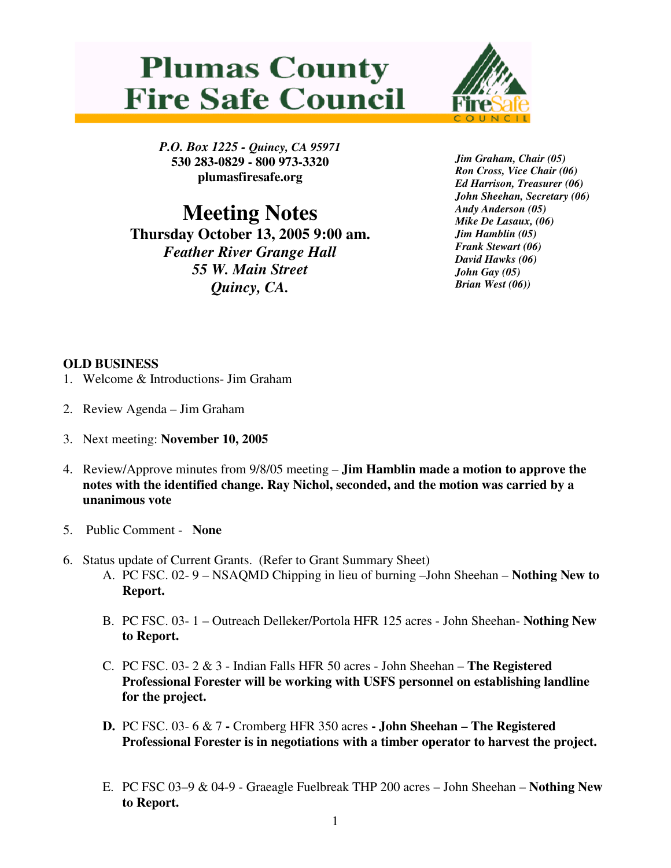## **Plumas County Fire Safe Council**



*P.O. Box 1225 - Quincy, CA 95971*  **530 283-0829 - 800 973-3320 plumasfiresafe.org** 

**Meeting Notes Thursday October 13, 2005 9:00 am.**  *Feather River Grange Hall 55 W. Main Street Quincy, CA.* 

*Jim Graham, Chair (05) Ron Cross, Vice Chair (06) Ed Harrison, Treasurer (06) John Sheehan, Secretary (06) Andy Anderson (05) Mike De Lasaux, (06) Jim Hamblin (05) Frank Stewart (06) David Hawks (06) John Gay (05) Brian West (06))* 

## **OLD BUSINESS**

- 1. Welcome & Introductions- Jim Graham
- 2. Review Agenda Jim Graham
- 3. Next meeting: **November 10, 2005**
- 4. Review/Approve minutes from 9/8/05 meeting **Jim Hamblin made a motion to approve the notes with the identified change. Ray Nichol, seconded, and the motion was carried by a unanimous vote**
- 5. Public Comment **None**
- 6. Status update of Current Grants. (Refer to Grant Summary Sheet)
	- A. PC FSC. 02- 9 NSAQMD Chipping in lieu of burning –John Sheehan **Nothing New to Report.**
	- B. PC FSC. 03- 1 Outreach Delleker/Portola HFR 125 acres John Sheehan- **Nothing New to Report.**
	- C. PC FSC. 03- 2 & 3 Indian Falls HFR 50 acres John Sheehan **The Registered Professional Forester will be working with USFS personnel on establishing landline for the project.**
	- **D.** PC FSC. 03- 6 & 7 Cromberg HFR 350 acres **John Sheehan The Registered Professional Forester is in negotiations with a timber operator to harvest the project.**
	- E. PC FSC 03–9 & 04-9 Graeagle Fuelbreak THP 200 acres John Sheehan **Nothing New to Report.**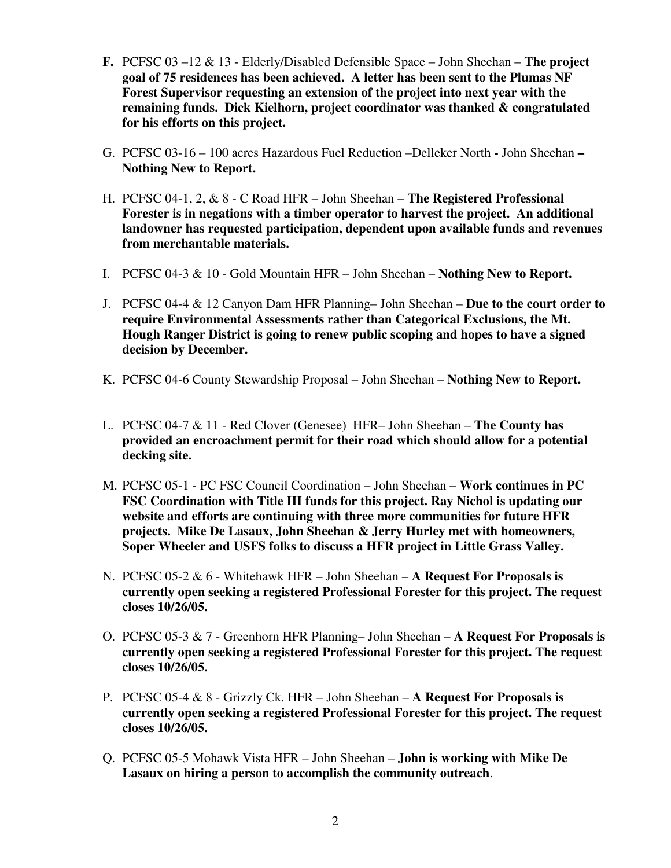- **F.** PCFSC 03 –12 & 13 Elderly/Disabled Defensible Space John Sheehan – **The project goal of 75 residences has been achieved. A letter has been sent to the Plumas NF Forest Supervisor requesting an extension of the project into next year with the remaining funds. Dick Kielhorn, project coordinator was thanked & congratulated for his efforts on this project.**
- G. PCFSC 03-16 100 acres Hazardous Fuel Reduction –Delleker North **-** John Sheehan **Nothing New to Report.**
- H. PCFSC 04-1, 2, & 8 C Road HFR John Sheehan **The Registered Professional Forester is in negations with a timber operator to harvest the project. An additional landowner has requested participation, dependent upon available funds and revenues from merchantable materials.**
- I. PCFSC 04-3 & 10 Gold Mountain HFR John Sheehan **Nothing New to Report.**
- J. PCFSC 04-4 & 12 Canyon Dam HFR Planning– John Sheehan **Due to the court order to require Environmental Assessments rather than Categorical Exclusions, the Mt. Hough Ranger District is going to renew public scoping and hopes to have a signed decision by December.**
- K. PCFSC 04-6 County Stewardship Proposal John Sheehan **Nothing New to Report.**
- L. PCFSC 04-7 & 11 Red Clover (Genesee) HFR– John Sheehan **The County has provided an encroachment permit for their road which should allow for a potential decking site.**
- M. PCFSC 05-1 PC FSC Council Coordination John Sheehan **Work continues in PC FSC Coordination with Title III funds for this project. Ray Nichol is updating our website and efforts are continuing with three more communities for future HFR projects. Mike De Lasaux, John Sheehan & Jerry Hurley met with homeowners, Soper Wheeler and USFS folks to discuss a HFR project in Little Grass Valley.**
- N. PCFSC 05-2 & 6 Whitehawk HFR John Sheehan **A Request For Proposals is currently open seeking a registered Professional Forester for this project. The request closes 10/26/05.**
- O. PCFSC 05-3 & 7 Greenhorn HFR Planning– John Sheehan **A Request For Proposals is currently open seeking a registered Professional Forester for this project. The request closes 10/26/05.**
- P. PCFSC 05-4 & 8 Grizzly Ck. HFR John Sheehan **A Request For Proposals is currently open seeking a registered Professional Forester for this project. The request closes 10/26/05.**
- Q. PCFSC 05-5 Mohawk Vista HFR John Sheehan **John is working with Mike De Lasaux on hiring a person to accomplish the community outreach**.